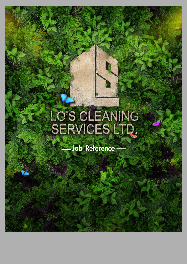# LO'S CLEANING<br>SERVICES LTD.

Job Reference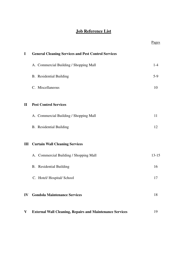# **Job Reference List**

|              |                                                                 | <b>Pages</b> |
|--------------|-----------------------------------------------------------------|--------------|
| $\mathbf I$  | <b>General Cleaning Services and Pest Control Services</b>      |              |
|              | A. Commercial Building / Shopping Mall                          | $1 - 4$      |
|              | <b>B.</b> Residential Building                                  | $5-9$        |
|              | C. Miscellaneous                                                | 10           |
| $\mathbf{I}$ | <b>Pest Control Services</b>                                    |              |
|              | A. Commercial Building / Shopping Mall                          | 11           |
|              | <b>B.</b> Residential Building                                  | 12           |
| Ш            | <b>Curtain Wall Cleaning Services</b>                           |              |
|              | A. Commercial Building / Shopping Mall                          | $13 - 15$    |
|              | <b>B.</b> Residential Building                                  | 16           |
|              | C. Hotel/Hospital/School                                        | 17           |
| IV           | <b>Gondola Maintenance Services</b>                             | 18           |
| V            | <b>External Wall Cleaning, Repairs and Maintenance Services</b> | 19           |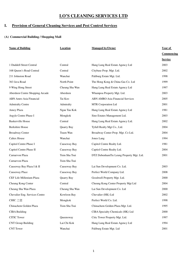## **I. Provision of General Cleaning Services and Pest Control Services**

| <b>Name of Building</b>         | <b>Location</b> | <b>Managed by/Owner</b>                  | Year of           |
|---------------------------------|-----------------|------------------------------------------|-------------------|
|                                 |                 |                                          | <b>Commencing</b> |
|                                 |                 |                                          | <b>Service</b>    |
| 1 Duddell Street Central        | Central         | Hang Lung Real Estate Agency Ltd         | 2003              |
| 168 Queen's Road Central        | Central         | Citybase Prop. Mgt. Ltd.                 | 2002              |
| 211 Johnston Road               | Wanchai         | Paliburg Estate Mgt. Ltd.                | 1998              |
| 363 Java Road                   | North Point     | The Hong Kong & China Gas Co. Ltd        | 1999              |
| 9 Wing Hong Street              | Cheung Sha Wan  | Hang Lung Real Estate Agency Ltd         | 1997              |
| Aberdeen Centre Shopping Arcade | Aberdeen        | Whampoa Property Mgt. Ltd.               | 2003              |
| <b>ABN</b> Amro Asia Financial  | Tai Koo         | <b>ABN AMRO Asia Financial Services</b>  | 2005              |
| <b>Admiralty Centre</b>         | Admiralty       | MTR Corporation Ltd                      | 2001              |
| Amoy Plaza                      | Ngau Tau Kok    | Hang Lung Real Estate Agency Ltd         | 1981              |
| Argyle Centre Phase I           | Mongkok         | Sino Estates Management Ltd.             | 2003              |
| <b>Baskerville House</b>        | Central         | Hang Lung Real Estate Agency Ltd.        | 2002              |
| <b>Berkshire House</b>          | Quarry Bay      | Tyfull Realty Mgt Co., Ltd.              | 2004              |
| <b>Broadway Center</b>          | Tsuen Wan       | Broadway Center Prop. Mgt. Co Ltd.       | 2004              |
| <b>Caltex House</b>             | Wanchai         | Jones Lang                               | 1994              |
| Capitol Centre Phase I          | Causeway Bay    | Capitol Centre Realty Ltd.               | 1981              |
| Capitol Centre Phase II         | Causeway Bay    | Captiol Centre Realty Ltd.               | 2004              |
| Carnarvon Plaza                 | Tsim Sha Tsui   | DTZ DebenhamTie Leung Property Mgt. Ltd. | 2001              |
| Carnarvon Plaza                 | Tsim Sha Tsui   |                                          |                   |
| Causeway Bay Plaza I & II       | Causeway Bay    | Lai Sun Development Co. Ltd.             | 2003              |
| Causeway Place                  | Causeway Bay    | Perfect World Company Ltd.               | 2008              |
| CEF Life Millenium Plaza        | Quarry Bay      | Goodwell Property Mgt. Ltd.              | 2000              |
| Cheung Kong Center              | Central         | Cheung Kong Center Property Mgt Ltd      | 2004              |
| Cheung Sha Wan Plaza            | Cheung Sha Wan  | Lai Sun Development Co. Ltd              | 2000              |
| Chevalier Eng. Services Centre  | Kowloon Bay     | Chevalier (HK) Ltd                       | 2002              |
| CHIC 之堡                         | Mongkok         | Perfect World Co. Ltd.                   | 1998              |
| Chinachem Golden Plaza          | Tsim Sha Tsui   | Chinachem Golden Plaza Mgt. Ltd.         | 1995              |
| <b>CIBA Building</b>            |                 | CIBA Specialty Chemicals (HK) Ltd        | 2000              |
| <b>CITIC Tower</b>              | Queensway       | Citic Tower Property Mgt. Ltd.           | 1997              |
| <b>CNT Group Building</b>       | Lai Chi Kok     | Hang Lung Real Estate Agency Ltd         | 1994              |
| <b>CNT</b> Tower                | Wanchai         | Paliburg Estate Mgt. Ltd                 | 2001              |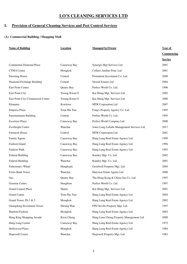## **I. Provision of General Cleaning Services and Pest Control Services**

| <b>Name of Building</b>           | <b>Location</b> | <b>Managed by/Owner</b>                     | Year of           |
|-----------------------------------|-----------------|---------------------------------------------|-------------------|
|                                   |                 |                                             | <b>Commencing</b> |
|                                   |                 |                                             | <b>Service</b>    |
| Continental Diamond Plaza         | Causeway Bay    | Synergis Mgt Services Ltd                   | 2007              |
| <b>CTMA</b> Centre                | Mongkok         | Colliers Jardine Prop. Ltd                  | 2001              |
| Dawning House                     | Central         | Permanent Investment Co. Ltd.               | 2009              |
| Diamond Exchange Building         | Central         | Sitwell Estates Ltd                         | 2004              |
| East Point Centre                 | Quarry Bay      | Perfect World Co. Ltd.                      | 1996              |
| East Point City                   | Tseung Kwan O   | Kai Shing Mgt. Services Ltd                 | 2002              |
| East Point City Commencial Centre | Tseung Kwan O   | Kai Shing Mgt. Services Ltd                 | 2000              |
| Elements                          | Kowloon         | <b>MTR Corporation Ltd</b>                  | 2007              |
| <b>Empress Plaza</b>              | Tsim Sha Tsui   | Fong's Property Agency Co. Ltd.             | 1995              |
| <b>Entertainment Building</b>     | Central         | Perfect World Co. Ltd.                      | 1995              |
| <b>Excelsior Plaza</b>            | Causeway Bay    | Perfect World Company Ltd.                  | 2008              |
| Everbright Centre                 | Wanchai         | Jones Lang LaSalle Management Services Ltd. | 2017              |
| <b>Fairmont House</b>             | Central         | MTR Corporation Ltd                         | 2001              |
| Family Square                     | Causeway Bay    | Hang Lung Real Estate Agency Ltd            | 1999              |
| Fashion Island                    | Causeway Bay    | Hang Lung Real Estate Agency Ltd            | 1996              |
| Fashion Walk                      | Causeway Bay    | Hang Lung Real Estate Agency Ltd            | 1993              |
| <b>Federal Building</b>           | Causeway Bay    | Kamley Mgt. Co. Ltd                         | 2002              |
| <b>Federal Building</b>           | Wanchai         | Kamley Mgt. Co. Ltd.                        | 2001              |
| Fisherman's Wharf                 | Hunghojm        | Goodwell Property Mgt. Ltd                  | 2004              |
| Fortis Bank Tower                 | Wanchai         | Hutcison Estate Agents Ltd                  | 2000              |
| Gas                               | Quarry Bay      | The Hong Kong & China Gas Co. Ltd.          | 1997              |
| <b>Gemstar Centre</b>             | Hunghom         | Perfect World Co. Ltd.                      | 1997              |
| <b>Grand Central Plaza</b>        | Shatin          | Kai Shing Mgt. Services Ltd                 | 2001              |
| <b>Grand Centre</b>               | Tsim Sha Tsui   | Hang Lung Real Estate Agency Ltd            | 2004              |
| Grand Tower, Ph 1 & 2             | Mongkok         | Hang Lung Real Estate Agency Ltd            | 2002              |
| Guangdong Investment Tower        | Sheung Wan      | FPD Savills Property Mgt. Ltd.              | 1997              |
| Hanford Fashion                   | Mongkok         | Hang Lung Real Estate Agency Ltd            | 2003              |
| Hang King Shopping Arcade         | Kwai Chung      | Hang Luen Chong Property Management Ltd.    | 2009              |
| Hang Lung Centre                  | Causeway Bay    | Hang Lung Real Estate Agency Ltd            | 1975              |
| Hollywood Plaza                   | Mongkok         | Hang Lung Real Estate Agency Ltd            | 1984              |
| Hopewell Centre                   | Wanchai         | Hopewell Property Mgt. Ltd.                 | 1983              |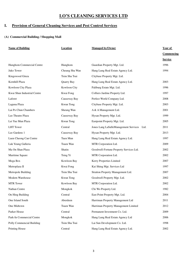## **I. Provision of General Cleaning Services and Pest Control Services**

| <b>Name of Building</b>     | <b>Location</b> | <b>Managed by/Owner</b>                    | Year of        |
|-----------------------------|-----------------|--------------------------------------------|----------------|
|                             |                 |                                            | Commencing     |
|                             |                 |                                            | <b>Service</b> |
| Hunghom Commercial Centre   | Hunghom         | Guardian Property Mgt. Ltd.                | 1996           |
| Juko Tower                  | Cheung Sha Wan  | Hang Lung Real Estate Agency Ltd.          | 1994           |
| Kingswood Ginza             | Tsim Sha Tsui   | Citybase Property Mgt. Ltd.                |                |
| Kornhill Plaza              | Quarry Bay      | Hang Lung Real Estate Agency Ltd.          | 2003           |
| Kowloon City Plaza          | Kowloon City    | Paliburg Estate Mgt. Ltd.                  | 1996           |
| Kwai Shun Industrial Centre | Kwai Fong       | Colliers Jardine Property Ltd.             | 1997           |
| Laforet                     | Causeway Bay    | Perfect World Company Ltd.                 | 2008           |
| Laguna Plaza                | Kwun Tong       | Citybase Property Mgt. Ltd.                | 2003           |
| Lai Po Chun Chambers        | Sheung Wan      | A & A Management Ltd.                      | 2001           |
| Lee Theatre Plaza           | Causeway Bay    | Hysan Property Mgt. Ltd.                   | 1999           |
| Lei Yue Mun Plaza           | Kwun Tong       | Eastpoint Property Mgt. Ltd.               | 2005           |
| <b>LHT</b> Tower            | Central         | Jones Lang LaSalleManagement Services Ltd. | 2011           |
| Lee Gardens 1               | Causeway Bay    | Hysan Property Mgt. Ltd.                   | 2013           |
| Luen Cheong Can Centre      | Tuen Mun        | Hang Lung Real Estate Agency Ltd.          | 1997           |
| Luk Yeung Galleria          | Tsuen Wan       | MTR Corporation Ltd.                       | 2009           |
| Ma On Shan Plaza            | Shatin          | Goodwell-Fortune Property Services Ltd.    | 2002           |
| Maritime Square             | Tsing Yi        | MTR Corporation Ltd.                       | 2002           |
| Mega Box                    | Kowloon Bay     | Kerry Properties Limited                   | 2007           |
| Metroplaza II               | Kwai Fong       | Kai Shing Mgt. Services Ltd                | 1997           |
| Metropole Building          | Tsim Sha Tsui   | Stratton Property Management Ltd.          | 2007           |
| Modern Warehouse            | Kwun Tong       | Goodwell Property Mgt. Ltd.                | 2002           |
| <b>MTR</b> Tower            | Kowloon Bay     | MTR Corporation Ltd.                       | 2002           |
| Nathan Centre               | Mongkok         | Chi Wo Property Ltd.                       | 1982           |
| On Hing Building            | Central         | East Point Property Mgt. Ltd.              | 2004           |
| One Island South            | Aberdeen        | Harriman Property Management Ltd           | 2011           |
| One Midtown                 | Tsuen Wan       | Harriman Property Management Limited       | 2012           |
| Parker House                | Central         | Permanent Investment Co. Ltd.              | 2009           |
| Park-In Commercial Centre   | Mongkok         | Hang Lung Real Estate Agency Ltd           | 2006           |
| Polly Commencial Building   | Tsim Sha Tsui   | Lai Sun Development Co. Ltd.               | 1998           |
| Printing House              | Central         | Hang Lung Real Estate Agency Ltd.          | 2002           |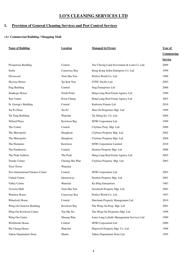## **I. Provision of General Cleaning Services and Pest Control Services**

| <b>Name of Building</b>          | <b>Location</b> | <b>Managed by/Owner</b>                    | Year of        |  |
|----------------------------------|-----------------|--------------------------------------------|----------------|--|
|                                  |                 |                                            | Commencing     |  |
|                                  |                 |                                            | <b>Service</b> |  |
| Prosperous Buidling              | Central         | Yue Cheong Land Investment & Loan Co. Ltd. | 2009           |  |
| Seibu                            | Causeway Bay    | Hong Kong Seibu Enterprise Co. Ltd.        | 1999           |  |
| Silvercord                       | Tsim Sha Tsui   | Perfect World Co. Ltd.                     | 1996           |  |
| <b>Skyway House</b>              | Tai Kok Tsui    | CITIC Pacific Ltd.                         | 2003           |  |
| <b>Stag Building</b>             | Central         | Stag Enterprises Ltd.                      | 2006           |  |
| Stanhope House                   | North Point     | Hang Lung Real Estate Agency Ltd           | 1990           |  |
| <b>Star Centre</b>               | Kwai Chung      | Hang Lung Real Estate Agency Ltd           | 2003           |  |
| St. George's Building            | Central         | Kadoorie Estates Ltd                       | 2016           |  |
| Tai Po Plaza                     | Tai Po          | Shui On Properties Mgt. Ltd.               | 1999           |  |
| Tai Tung Building                | Wanchai         | Tai Shing Inv. Co. Ltd.                    | 2004           |  |
| <b>Telford Plaza</b>             | Kowloon Bay     | MTR Corporation Ltd.                       | 1999           |  |
| The Center                       | Central         | Citybase Prop. Mgt. Ltd.                   | 2006           |  |
| The Metropolis                   | Hunghom         | Citybase Property Mgt. Ltd.                | 2002           |  |
| The Metropolis                   | Hunghom         | Citybase Property Mgt. Ltd.                | 2004           |  |
| The Elements                     | Kowloon         | MTR Corporation Limited                    | 2010           |  |
| The Pamberton                    | Central         | Stratton Property Mgt. Ltd                 | 2006           |  |
| The Peak Galleria                | The Peak        | Hang Lung Real Estate Agency Ltd           | 2003           |  |
| <b>Trendy Centre</b>             | Cheung Sha Wan  | Citybase Property. Mgt. Ltd.               | 2003           |  |
| <b>Trust Tower</b>               | Wanchai         |                                            |                |  |
| Two International Finance Center | Central         | MTR Corporation Ltd.                       | 2003           |  |
| <b>United Centre</b>             | Queensway       | Stratton Property Mgt. Ltd.                | 2001           |  |
| Valley Centre                    | Wanchai         | Ka Hing Enterprises                        | 1983           |  |
| Victoria Mall                    | Tsim Sha Tsui   | Goodwell Property Mgt. Ltd.                | 2003           |  |
| Windsor House                    | Causeway Bay    | Perfect World Co. Ltd.                     | 1997           |  |
| Wheelock House                   | Central         | Harriman Property Management Ltd           | 2010           |  |
| Wing On Godown Building          | Kowloon Bay     | The Wing On Prop. Mgt. Ltd.                | 2001           |  |
| Wing On Kowloon Centre           | Yau Ma Tei      | The Wing On Properties Mgt. Ltd            | 1999           |  |
| Wing On Centre                   | Sheung Wan      | Jones Lang LaSalle Management Services Ltd | 1999           |  |
| Worldwide House                  | Central         | MTR Corporation Ltd.                       | 2000           |  |
| Wu Chung House                   | Wanchai         | Hopewell Property Mgt. Co. Ltd.            | 1998           |  |
| Yahon Department Store           | Shatin          | Yahon Department Store Ltd.                | 1995           |  |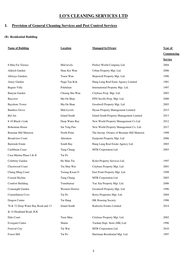## **I. Provision of General Cleaning Services and Pest Control Services**

| <b>Name of Building</b>            | <b>Location</b>     | <b>Managed by/Owner</b>                    | <b>Year of</b> |
|------------------------------------|---------------------|--------------------------------------------|----------------|
|                                    |                     |                                            | Commencing     |
|                                    |                     |                                            | <b>Service</b> |
| 8 Shiu Fai Terrace                 | Mid-levels          | Perfect World Company Ltd.                 | 2004           |
| Aldrich Garden                     | Shau Kei Wan        | Urban Property Mgt. Ltd.                   | 2006           |
| <b>Allways Gardens</b>             | Tsuen Wan           | Hopewell Property Mgt. Ltd.                | 1996           |
| Amoy Garden                        | Nagu Tau Kok        | Hang Lung Real Easte Agency Limited        | 1981           |
| Baguio Villa                       | Pokfulam            | International Property Mgt. Ltd.           | 1997           |
| Banyan Garden                      | Cheung Sha Wan      | Citybase Prop. Mgt. Ltd.                   | 2003           |
| Baycrest                           | Ma On Shan          | FPD Savills Prop. Mgt. Ltd.                | 2000           |
| <b>Bayshore Tower</b>              | Ma On Shan          | Goodwell Property Mgt. Ltd.                | 2003           |
| Bamboo Grove                       | Mid-Levels          | Hysan Property Management Limited          | 2015           |
| Bel-Air                            | <b>Island South</b> | Island South Property Management Limited   | 2013           |
| 8-10 Black's Link                  | Deep Water Bay      | New World Property Management Co Ltd       | 2012           |
| <b>Bohemian House</b>              | Sai Ying Pun        | New World Property Management Co. Ltd.     | 2017           |
| <b>Braemar Hill Mansion</b>        | North Point         | The Incorp. Owners of Breamer Hill Mansion | 1998           |
| <b>Broadview Court</b>             | Aberdeen            | Eastpoint Property Mgt. Ltd.               | 2006           |
| <b>Burnside Estate</b>             | South Bay           | Hang Lung Real Estate Agency Ltd.          | 2003           |
| Caribbean Coast                    | Tung Chung          | MTR Corporation Ltd.                       | 2003           |
| Casa Marina Phase I & II           | Tai Po              |                                            |                |
| Celebrity Garden                   | Ho Man Tin          | Kolot Property Services Ltd.               | 1997           |
| Chestwood Court                    | Tin Shui Wai        | Citybase Property Mgt. Ltd.                | 2001           |
| Chung Ming Court                   | Tseung Kwan O       | East Point Property Mgt. Ltd.              | 1998           |
| Coastal Skyline                    | Tung Chung          | MTR Corporation Ltd.                       | 2003           |
| <b>Comfort Building</b>            | Tsimshatsui         | Yue Xiu Property Mgt. Ltd.                 | 2006           |
| Connaught Garden                   | Western District    | Goodwell Property Mgt. Ltd.                | 1996           |
| <b>Constellation Cove</b>          | Tai Po              | Kerry Properties Mgt. Ltd.                 | 2004           |
| Dragon Centre                      | Tai Hang            | HK Housing Society                         | 1996           |
| 70 & 72 Deep Water Bay Road and 13 | <b>Island South</b> | Kadoorie Estates Limited                   | 2014           |
| & 14 Headland Road, H.K            |                     |                                            |                |
| Eldo Court                         | Tuen Mun            | Citybase Property Mgt. Ltd.                | 2002           |
| Evergain Centre                    | Shatin              | Yaohan Dept. Store (HK) Ltd.               | 1996           |
| <b>Festival City</b>               | Tai Wai             | MTR Corporation Ltd.                       | 2010           |
| Forest Hill                        | Tai Po              | Harriman Residential Mgt. Ltd.             | 1997           |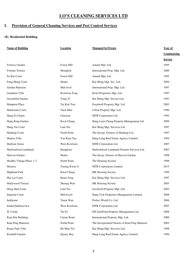## **I. Provision of General Cleaning Services and Pest Control Services**

| <b>Name of Building</b>   | Location      | <b>Managed by/Owner</b>                     | <b>Year of</b> |
|---------------------------|---------------|---------------------------------------------|----------------|
|                           |               |                                             | Commencing     |
|                           |               |                                             | <b>Service</b> |
| Fortress Garden           | Forest Hill   | Amard Mgt. Ltd.                             | 1995           |
| Fortune Terrace           | Mongkok       | International Prop. Mgt. Ltd.               | 2000           |
| Fu Kar Court              | Forest Hill   | Amard Mgt. Ltd.                             | 1995           |
| Fung Shing Court          | Shatin        | Kai Shing Mgt. Sev. Ltd.                    | 2004           |
| Garden Mansion            | Mid-level     | International Prop. Mgt. Ltd.               | 1997           |
| Grandeur Villa            | Kowloon Tong  | Kolot Properties Mgt. Ltd.                  | 1997           |
| Greenfield Garden         | Tsing Yi      | Kai Shing Mgt. Servies Ltd.                 | 1997           |
| Hampton Place             | Tai Kok Tsui  | Goodwell Property Mgt. Ltd.                 | 2003           |
| Handsome Court            | Tuen Mun      | Urban Property Mgt. Ltd.                    | 1990           |
| Hang Fa Chuen             | Chaiwan       | MTR Corporation Ltd.                        | 1994           |
| Hang King Garden          | Kwai Chung    | Hang Luen Chong Property Management Ltd.    | 2009           |
| Hang Tin Court            | Lam Tin       | Kai Shing Mgt. Services Ltd.                | 1997           |
| Hanking Court             | North Point   | The Incorp. Owners of Hanking Cor.          | 1997           |
| Hanley Villa              | Yau Kam Tau   | Hang Lung Real Estate Agency Limited        | 1994           |
| Harbour Green             | West Kowloon  | MTR Corporation Ltd.                        | 2007           |
| Harbourfront Landmark     | Hunghom       | Harbourfront Landmark Premier Services Ltd. | 2002           |
| Harvest Garden            | Shatin        | The Incop. Owners of Harvest Garden         | 1998           |
| Healthy Village Phase 1-3 | North Point   | The Housing Society                         | 1998           |
| Hemera                    | Tseung Kwan O | MTR Corporation Limited                     | 2015           |
| <b>Highland Park</b>      | Kwai Chung    | HK Housing Society                          | 1999           |
| Hiu Lai Court             | Kuun Tong     | Kai Shing Mgt. Services Ltd.                | 1997           |
| Hollywood Terrace         | Sheung Wan    | HK Housing Society                          | 2003           |
| Hong Shui Court           | Lam Tin       | Goodwell Property Mgt. Ltd.                 | 2003           |
| <b>Imperial Court</b>     | Mid-levels    | Hang Yick Properties Management Limited     | 2008           |
| Indihome                  | Tsuen Wan     | Perfect World Co. Ltd.                      | 2006           |
| Island Harbourview        | West Kowloon  | MTR Corporation Ltd.                        | 2007           |
| JC Castle                 | Tai Po        | ISS EastPoint Property Management Ltd.      | 2008           |
| Kam Kin Building          | Carine Road   | International Property Mgt. Ltd.            | 2000           |
| Kam Ping Mansion          | North Point   | The Incorporated Owners of Kam Ping Mansion | 2002           |
| Kings Park Villa          | Ho Man Tin    | Kai Shing Mgt. Services Ltd.                | 1998           |
| Kornhill Garden           | Quarry Bay    | Hang Lung Real Estate Agency Limited        | 1996           |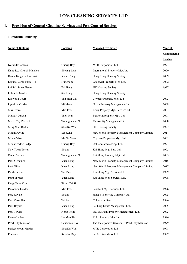## **I. Provision of General Cleaning Services and Pest Control Services**

| <b>Name of Building</b> | <b>Location</b> | <b>Managed by/Owner</b>                       | Year of        |  |
|-------------------------|-----------------|-----------------------------------------------|----------------|--|
|                         |                 |                                               | Commencing     |  |
|                         |                 |                                               | <b>Service</b> |  |
| Kornhill Gardens        | Quarry Bay      | MTR Corporation Ltd.                          | 1997           |  |
| Kung Lee Church Mansion | Sheung Wan      | International Property Mgt. Ltd.              | 2000           |  |
| Kwun Tong Garden Estate | Kwun Tong       | Hong Kong Housing Society                     | 2009           |  |
| Laguna Verde Phase 1-5  | Hunghom         | Goodwell Property Mgt. Ltd.                   | 2002           |  |
| Lai Tak Tsuen Estate    | Tai Hang        | HK Housing Society                            | 1997           |  |
| Lakeside Garden         | Sai Kung        | Hong Kong Housing Society                     |                |  |
| Locwood Court           | Tun Shui Wai    | Citybase Property Mgt. Ltd.                   | 2003           |  |
| Lyttelton Garden        | Mid-levels      | Urban Property Management Ltd.                | 2008           |  |
| May Tower               | Mid-level       | Kerry Property Mgt. Services ltd.             | 2001           |  |
| Melody Garden           | Tuen Mun        | EastPoint property Mgt. Ltd.                  | 2001           |  |
| Metro City Phase 1      | Tseung Kwan O   | Metro City Management Ltd.                    | 2008           |  |
| Ming Wah Daitta         | ShauKeiWan      | HK Housing Society                            | 1997           |  |
| Mount Pavilia           | Sai Kung        | New World Property Management Company Limited | 2017           |  |
| Monte Vista             | Ma On Shan      | Citybase Properties Mgt. Ltd.                 | 2001           |  |
| Mount Parker Ladge      | Quarry Bay      | Colliers Jardine Prop. Ltd.                   | 1997           |  |
| New Town Tower          | Shatin          | Kai Shing Mgt. Sev. Ltd.                      | 1993           |  |
| Ocean Shores            | Tseung Kwan O   | Kai Shing Property Mgt Ltd.                   | 2005           |  |
| Park Signature          | Yuen Long       | New World Property Management Company Limited | 2015           |  |
| Park Villa              | Yuen Long       | New World Property Management Company Limited | 2017           |  |
| Pacific View            | Tai Tam         | Kai Shing Mgt. Services Ltd.                  | 1999           |  |
| Palm Springs            | Yuen Long       | Kai Shing Mgt. Services Ltd.                  | 1998           |  |
| Pang Ching Court        | Wong Tai Sin    |                                               |                |  |
| Panorama Garden         | Mid-level       | Saneford Mgt. Services Ltd.                   | 1996           |  |
| Parc Royale             | Shatin          | Hong Yip Service Company Ltd.                 | 2005           |  |
| Parc Versailles         | Tai Po          | Colliers Jardine                              | 1996           |  |
| Park Royale             | Yuen Long       | Paliburg Estate Management Ltd.               | 2005           |  |
| Park Towers             | North Point     | ISS EastPoint Property Management Ltd.        | 2003           |  |
| Peace Garden            | Ho Man Tin      | Kolot Property Mgt. Ltd.                      | 1996           |  |
| Pearl City Mansion      | Causeway Bay    | The Incorporated Owners Of Pearl City Mansion | 1979           |  |
| Perfect Mount Garden    | ShauKeiWan      | MTR Corporation Ltd.                          | 1998           |  |
| Pinecrest               | Repulse Bay     | Perfect World Co. Ltd.                        | 1997           |  |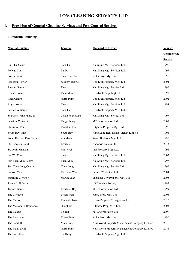## **I. Provision of General Cleaning Services and Pest Control Services**

| <b>Name of Building</b>  | <b>Location</b>         | <b>Managed by/Owner</b>                       | Year of        |
|--------------------------|-------------------------|-----------------------------------------------|----------------|
|                          |                         |                                               | Commencing     |
|                          |                         |                                               | <b>Service</b> |
| Ping Tin Court           | Lam Tin                 | Kai Shing Mgt. Services Ltd.                  | 1996           |
| Po Nga Court             | Tai Po                  | Kai Shing Mgt. Services Ltd.                  | 1997           |
| Po On Court              | Sham Shui Po            | Kolot Prop. Mgt. Ltd.                         | 1996           |
| Princeton Tower          | <b>Western District</b> | Goodwell Property Mgt. Ltd.                   | 2004           |
| Ravana Garden            | Shatin                  | Kai Shing Mgt. Servies Ltd.                   | 1996           |
| <b>Rhine Terrace</b>     | Tuen Mun                | Goodwell Prop. Mgt. Ltd.                      | 1998           |
| Roca Centre              | North Point             | Goodwell Property Mgt. Ltd.                   | 2002           |
| Royal Ascot              | Shatin                  | Kai Shing Mgt. Services Ltd.                  | 1998           |
| Sceneway Garden          | Lam Tin                 | Goodwell Property Mgt. Ltd.                   |                |
| Sea Crest Villa Phase II | Castle Peak Road        | Kai Shing Mgt. Servies Ltd.                   | 1997           |
| Seaview Crescent         | Tung Chung              | MTR Corporation Ltd.                          | 2007           |
| Sherwood Court           | Tin Shui Wai            | Citybase Property Mgt. Ltd.                   | 1996           |
| South Bay Villa          | South Bay               | Hang Lung Real Estate Agency Limited          | 1998           |
| South Horizon East Comn  | Aberdeen                | South Horizons Mgt. Ltd.                      | 1996           |
| St. George's Court       | Kowloon                 | Kadoorie Estates Ltd                          | 2013           |
| St. Louis Mansion        | Mid-level               | Int'l Property Mgt. Ltd.                      | 1998           |
| Sui Wu Court             | Shatin                  | Kai Shing Mgt. Services Ltd.                  | 2003           |
| Sun Tuen Mun Centre      | Tuen Mun                | Kai Shing Mgt. Services Ltd.                  | 1997           |
| Sun Yuen Long Centre     | Yuen Long               | Kai Shing Mgt. Servies Ltd.                   | 1996           |
| Sunrise Villa            | To Kwan Wan             | Perfect World Co. Ltd.                        | 2004           |
| Sunshine City Ph 4       | Ma On Shan              | Sunshine City Property Mgt. Ltd               | 2005           |
| Tanner Hill Estate       |                         | HK Housing Society                            | 1997           |
| Telford Garden           | Kowloon Bay             | MTR Corporation Ltd.                          | 1999           |
| The Cliveden             | Tsuen Wan               | Kerry Prop. Mgt. Ltd.                         | 2006           |
| The Merton               | Kennedy Town            | Urban Property Management Ltd.                | 2010           |
| The Metropolis Residence | Hunghom                 | Citybase Prop. Mgt. Ltd.                      | 2003           |
| The Palazzo              | Fo Tan                  | MTR Corporation Ltd.                          | 2009           |
| The Panorama             | Tsuen Wan               | Kolot Prop. Mgt. Ltd.                         | 1996           |
| The Parkhill             | Yuen Long               | New World Property Management Company Limited | 2016           |
| The Pavilia Hill         | North Point             | New World Property Management Company Limited | 2016           |
| The Portofino            | Sai Kung                | Goodwell Property Mgt. Ltd.                   |                |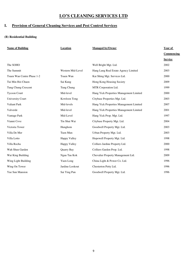## **I. Provision of General Cleaning Services and Pest Control Services**

| <b>Name of Building</b>    | <b>Location</b>     | <b>Managed by/Owner</b>                 | Year of        |
|----------------------------|---------------------|-----------------------------------------|----------------|
|                            |                     |                                         | Commencing     |
|                            |                     |                                         | <b>Service</b> |
| The SOHO                   |                     | Well Bright Mgt. Ltd.                   | 2002           |
| The Summit                 | Western Mid-Level   | Hang Lung Real Estate Agency Limited    | 2003           |
| Tsuen Wan Centre Phase 1-2 | Tsuen Wan           | Kai Shing Mgt. Services Ltd.            | 2000           |
| Tui Min Hoi Chuen          | Sai Kung            | Hong Kong Housing Society               | 2009           |
| Tung Chung Crescent        | Tung Chung          | MTR Corporation Ltd.                    | 1999           |
| <b>Tycoon Court</b>        | Mid-level           | Hang Yick Properties Management Limited | 2000           |
| <b>University Court</b>    | Kowloon Tong        | Citybase Properties Mgt. Ltd.           | 2003           |
| Valiant Park               | Mid-levels          | Hang Yick Properties Management Limited | 2007           |
| Valverde                   | Mid-level           | Hang Yick Properties Management Limited | 2001           |
| Vantage Park               | Mid-Level           | Hang Yick Prop. Mgt. Ltd.               | 1997           |
| Vianni Cove                | Tin Shui Wai        | Citybase Property Mgt. Ltd.             | 2004           |
| Victoria Tower             | Hunghom             | Goodwell Property Mgt. Ltd.             | 2003           |
| Villa De Mer               | Tuen Mun            | Urban Property Mgt. Ltd.                | 2003           |
| Villa Lotto                | <b>Happy Valley</b> | Hopewell Property Mgt. Ltd.             | 1998           |
| Villa Rocha                | Happy Valley        | Colliers Jardine Property Ltd.          | 2000           |
| Wah Shun Garden            | Quarry Bay          | Colliers Garden Prop. Ltd.              | 1998           |
| Wai King Building          | Ngau Tau Kok        | Chevalier Property Management Ltd.      | 2009           |
| Wing Light Building        | Yuen Long           | China Light & Power Co. Ltd.            | 1996           |
| Wing On Tower              | Jardine Lookout     | Chesterton Petty Ltd.                   | 1996           |
| Yue Sun Mansion            | Sai Ying Pun        | Goodwell Property Mgt. Ltd.             | 1996           |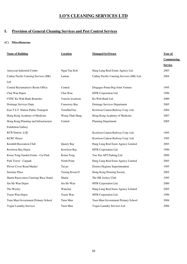# **I. Provision of General Cleaning Services and Pest Control Services**

#### **(C) Miscellaneous**

| <b>Name of Building</b>                    | <b>Location</b>   | <b>Managed by/Owner</b>                    | Year of        |
|--------------------------------------------|-------------------|--------------------------------------------|----------------|
|                                            |                   |                                            | Commencing     |
|                                            |                   |                                            | <b>Service</b> |
| Amoycan Industrial Centre                  | Ngau Tau Kok      | Hang Lung Real Estate Agency Ltd.          | 2003           |
| Cathay Pacific Catering Services (HK)      | Lantau            | Cathay Pacific Catering Services (HK) Ltd. | 2004           |
| Ltd.                                       |                   |                                            |                |
| <b>Central Reclamation's Resite Office</b> | Central           | Dragages-Penta-Bsg-Joint Venture           | 1995           |
| Chai Wan Depot                             | Chai Wan          | MTR Corporation Ltd.                       | 1996           |
| <b>CITIC Ka Wah Bank Branches</b>          | Various locations | Ka Wah Bank Ltd.                           | 2000           |
| Drainage Services Dept.                    | Causeway Bay      | Drainage Services Department               | 2005           |
| East T.S.T. Station Public Transport       | TsimShaTsui       | Kowloon Canton Railway Corp. Ltd.          | 2004           |
| Hong Kong Academy of Medicine              | Wong Chuk Hang    | Hong Kong Academy of Medicine              | 2007           |
| Hong Kong Planning and Infrastructure      | Central           | Planning Department                        | 2005           |
| <b>Exhibition Gallery</b>                  |                   |                                            |                |
| <b>KCR</b> Station 全線                      |                   | Kowloon Canton Railway Corp. Ltd.          | 1995           |
| <b>KCRC</b> House                          |                   | Kowloon Canton Railway Corp. Ltd.          | 1995           |
| Kornhill Recreation Club                   | Quarry Bay        | Hang Lung Real Easte Agency Limited        | 2003           |
| Kowloon Bay Depot                          | Kowloon Bay       | MTR Corporation Ltd.                       | 1996           |
| Kwun Tong Garden Estate - Car Park         | Kwun Tong         | Yue Xiu APT Parking Ltd.                   | 2009           |
| Park Tower - Carpark                       | North Point       | Hang Lung Real Easte Agency Limited        | 2003           |
| Plover Cover Road Market                   | Tai po            | District Hygiene Superintendent            | 1995           |
| <b>Serenity Place</b>                      | Tseung Kwan O     | Hong Kong Housing Society                  | 2005           |
| Shatin Racecourse Catering/ Race Stand     | Shatin            | The HK Jockey Club                         | 1995           |
| Siu Ho Wan Depot                           | Siu Ho Wan        | MTR Corporation Ltd.                       | 2000           |
| The Wesley                                 | Wanchai           | Hang Lung Real Easte Agency Limited        | 2005           |
| Tsuen Wan Depot                            | Tsuen Wan         | MTR Corporation Ltd.                       | 1996           |
| Tuen Mun Government Primary School         | Tuen Mun          | Tuen Mun Government Primary School         | 2004           |
| <b>Vogue Laundry Services</b>              | Tuen Mun          | Vogue Laundry Services Ltd.                | 2006           |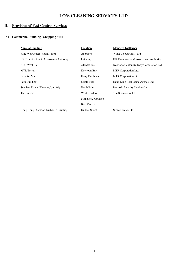## **II. Provision of Pest Control Services**

| <b>Name of Building</b>               | Location         | <b>Managed by/Owner</b>                 |
|---------------------------------------|------------------|-----------------------------------------|
| Hing Wai Center (Room 1105)           | Aberdeen         | Wong Lo Kat (Int'l) Ltd.                |
| HK Examination & Assessment Authority | Lai King         | HK Examination & Assessment Authority   |
| <b>KCR West Rail</b>                  | All Stations     | Kowloon Canton Railway Corporation Ltd. |
| <b>MTR</b> Tower                      | Kowloon Bay      | MTR Corporation Ltd.                    |
| Paradise Mall                         | Heng Fa Chuen    | MTR Corporation Ltd.                    |
| Park Building                         | Castle Peak      | Hang Lung Real Estate Agency Ltd.       |
| Seaview Estate (Block A, Unit 01)     | North Point      | Pan Asia Security Services Ltd.         |
| The Sincere                           | West Kowloon,    | The Sincere Co. Ltd.                    |
|                                       | Mongkok, Kowloon |                                         |
|                                       | Bay, Central     |                                         |
| Hong Kong Diamond Exchange Building   | Duddel Street    | Sitwell Estate Ltd.                     |
|                                       |                  |                                         |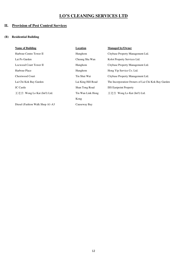## **II. Provision of Pest Control Services**

| <b>Name of Building</b>         | Location           | <b>Managed by/Owner</b>                            |
|---------------------------------|--------------------|----------------------------------------------------|
| Harbour Centre Tower II         | Hunghom            | Citybase Property Management Ltd.                  |
| Lai Po Garden                   | Cheung Sha Wan     | Kolot Property Services Ltd.                       |
| Locwood Court Tower II          | Hunghom            | Citybase Property Management Ltd.                  |
| Harbour Place                   | Hunghom            | Hong Yip Service Co. Ltd.                          |
| Chestwood Court                 | Tin Shui Wai       | Citybase Property Management Ltd.                  |
| Lai Chi Kok Bay Garden          | Lai King Hill Road | The Incorporation Owners of Lai Chi Kok Bay Garden |
| <b>JC</b> Castle                | Shan Tong Road     | <b>ISS Eastpoint Property</b>                      |
| 王老吉 Wong Lo Kat (Int'l) Ltd.    | Tin Wan Link Hong  | 王老吉 Wong Lo Kat (Int'l) Ltd.                       |
|                                 | Kong               |                                                    |
| Diesel (Fashion Walk Shop A1-A3 | Causeway Bay       |                                                    |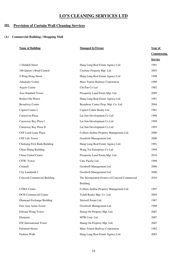## **III. Provision of Curtain Wall Cleaning Services**

| <b>Name of Building</b>             | <b>Managed by/Owner</b>                       | Year of           |
|-------------------------------------|-----------------------------------------------|-------------------|
|                                     |                                               | <b>Commencing</b> |
|                                     |                                               | <b>Service</b>    |
| 1 Duddell Street                    | Hang Lung Real Estate Agency Ltd.             | 1991              |
| 168 Queen's Road Central            | Citybase Property Mgt. Ltd.                   | 2003              |
| 9 Wing Hong Street                  | Hang Lung Real Estate Agency Ltd              | 1998              |
| <b>Admiralty Centre</b>             | Mass Transit Railway Corporation              | 1980              |
| Argyle Centre                       | Chi Pan Co Ltd                                | 1982              |
| Asia Standard Tower                 | Prosperity Land Estate Mgt. Ltd.              | 2009              |
| <b>Baskerville House</b>            | Hang Lung Real Estate Agency Ltd              | 1991              |
| <b>Broadway Centre</b>              | Broadway Center Prop. Mgt. Co. Ltd.           | 2004              |
| Capitol Centre I                    | Capitol Centre Realty Ltd.                    | 1981              |
| Carnarvon Plaza                     | Lai Sun Development Co Ltd                    | 1998              |
| Causeway Bay Plaza I                | Lai Sun Development Co Ltd                    | 1999              |
| Causeway Bay Plaza II               | Lai Sun Development Co Ltd.                   | 1993              |
| <b>CEF Lend Lease Plaza</b>         | Colliers Jardine Property Management Ltd.     | 2000              |
| <b>CEF Life Tower</b>               | Goodwill Management Ltd.                      | 2000              |
| <b>Chekiang First Bank Building</b> | Hang Lung Real Estate Agency Ltd.             | 1991              |
| Chiao Shang Building                | Wang Tat Enterprises Co Ltd                   | 1994              |
| China United Centre                 | Prosperity Land Estate Mgt. Ltd.              | 2010              |
| <b>CITIC Tower</b>                  | Citic Pacific Ltd.                            | 1998              |
| Citimall                            | Goodwill Management Ltd.                      | 2000              |
| City Landmark I                     | Goodwill Management Ltd.                      | 2000              |
| Concord Commercial Building         | The Insorporated Owners of Concord Commercial | 2010              |
|                                     | <b>Building</b>                               |                   |
| <b>CTMA</b> Centre                  | Colliers Jardine Property Management Ltd.     | 1997              |
| <b>DCH</b> Commercial Centre        | Tyfull Realty Mgt. Co. Ltd.                   | 2004              |
| Diamond Exchange Building           | Sitewell Estate Ltd.                          | 1987              |
| East Asia Aetna Tower               | Goodwell Management Ltd.                      | 1999              |
| <b>Edward Wong Tower</b>            | Shung On Property Mgt. Ltd.                   | 2007              |
| Elements                            | MTR Corp. Ltd.                                | 2007              |
| EW International Tower              | Shung On Property Mgt. Ltd.                   | 2007              |
| <b>Fairmont House</b>               | Mass Transit Railway Corporation              | 1982              |
| Fashion Walk                        | Hang Lung Real Estate Agency Ltd.             | 2003              |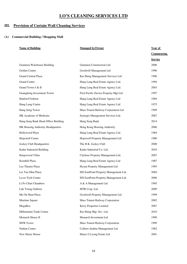## **III. Provision of Curtain Wall Cleaning Services**

| <b>Name of Building</b>             | <b>Managed by/Owner</b>                | Year of        |
|-------------------------------------|----------------------------------------|----------------|
|                                     |                                        | Commencing     |
|                                     |                                        | <b>Service</b> |
| Gammon Warehouse Building           | Gammon Construction Ltd.               | 2006           |
| Golden Centre                       | Goodwill Management Ltd                | 1996           |
| <b>Grand Central Plaza</b>          | Kai Shing Management Services Ltd      | 1996           |
| <b>Grand Centre</b>                 | Hang Lung Real Estate Agency Ltd.      | 1994           |
| Grand Tower I & II                  | Hang Lung Real Estate Agency Ltd.      | 2003           |
| Guangdong Investment Tower          | First Pacific Davies Property Mgt Ltd  | 1997           |
| Hanford Fashion                     | Hang Lung Real Estate Agency Ltd       | 1984           |
| Hang Lung Centre                    | Hang Lung Real Estate Agency Ltd       | 1975           |
| Hang Seng Tower                     | Mass Transit Railway Corporation Ltd   | 1999           |
| HK Academy of Medicine              | Synergis Management Services Ltd.      | 2007           |
| Hang Seng Bank Head Office Building | Hang Seng Bank                         | 2014           |
| HK Housing Authority Headquarters   | Hong Kong Housing Authority            | 2006           |
| Hollywood Plaza                     | Hang Lung Real Estate Agency Ltd       | 1984           |
| Hopewell Centre                     | Hopewell Property Management Ltd       | 1980           |
| Jockey Club Headquarters            | The H.K. Jockey Club                   | 2000           |
| Kader Industrial Building           | Kader Industrial Co. Ltd.              | 2010           |
| Kingswood Villas                    | Citybase Property Management Ltd.      | 2007           |
| Kornhill Plaza                      | Hang Lung Real Estate Agency Ltd       | 1987           |
| Lee Theatre Plaza                   | Hysan Property Management Ltd          | 1995           |
| Lei Yue Mun Plaza                   | ISS EastPoint Property Management Ltd. | 2004           |
| Lever Tech Centre                   | ISS EastPoint Property Management Ltd. | 2006           |
| Li Po Chun Chambers                 | A & A Management Ltd                   | 1995           |
| Luk Yeung Galleria                  | MTR Corp. Ltd.                         | 2009           |
| Ma On Shan Plaza                    | Goodwell Property Management Ltd       | 1999           |
| Martime Square                      | Mass Transit Railway Corporation       | 2002           |
| MegaBox                             | Kerry Properties Limited               | 2007           |
| Millennium Trade Centre             | Kai Shing Mgt. Sev. Ltd.               | 2010           |
| Monarch House II                    | Monarch Investment Ltd                 | 1990           |
| <b>MTR</b> Tower                    | Mass Transit Railway Corporation       | 1999           |
| Nathan Centre                       | Colliers Jardine Management Ltd        | 1982           |
| New Henry House                     | Henry G Leong Estate Ltd.              | 2001           |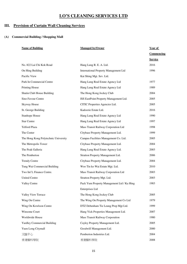## **III. Provision of Curtain Wall Cleaning Services**

| <b>Name of Building</b><br><b>Managed by/Owner</b> |                                              | Year of           |  |
|----------------------------------------------------|----------------------------------------------|-------------------|--|
|                                                    |                                              | <b>Commencing</b> |  |
|                                                    |                                              | <b>Service</b>    |  |
| No. 822 Lai Chi Kok Road                           | Hang Lung R. E. A. Ltd.                      | 2016              |  |
| On Hing Building                                   | <b>International Property Management Ltd</b> | 1996              |  |
| Pacific View                                       | Kai Shing Mgt. Sev. Ltd.                     |                   |  |
| Park In Commercial Centre                          | Hang Lung Real Estate Agency Ltd             | 1977              |  |
| <b>Printing House</b>                              | Hang Lung Real Estate Agency Ltd             | 1989              |  |
| Shatin Club House Building                         | The Hong Kong Jockey Club                    | 2004              |  |
| Sino Favour Centre                                 | ISS EastPoint Property Management Ltd.       | 2005              |  |
| Skyway House                                       | CITIC Properties Agencies Ltd.               | 2005              |  |
| St. George Building                                | Kadoorie Estate Ltd.                         | 2016              |  |
| <b>Stanhope House</b>                              | Hang Lung Real Estate Agency Ltd             | 1990              |  |
| <b>Star Centre</b>                                 | Hang Lung Real Estate Agency Ltd             | 1997              |  |
| <b>Telford Plaza</b>                               | Mass Transit Railway Corporation Ltd         | 1998              |  |
| The Center                                         | Citybase Property Management Ltd.            | 1999              |  |
| The Hong Kong Polytechnic University               | Campus Facilities Management Co. Ltd.        | 2005              |  |
| The Metropolis Tower                               | Citybase Property Management Ltd.            | 2004              |  |
| The Peak Galleria                                  | Hang Lung Real Estate Agency Ltd.            | 2003              |  |
| The Pemberton                                      | Stratton Property Management Ltd.            | 2006              |  |
| <b>Trendy Centre</b>                               | Citybase Property Management Ltd.            | 2004              |  |
| Tung Wai Commercial Building                       | Woo Tin ko Wai Estate Mgt. Ltd.              | 2010              |  |
| Two Int'L Finance Centre.                          | Mass Transit Railway Corporation Ltd         | 2003              |  |
| <b>United Centre</b>                               | Stratton Property Mgt. Ltd.                  | 2003              |  |
| Valley Centre                                      | Pack Yum Property Management Ltd / Ka Hing   | 1983              |  |
|                                                    | Enterprises Ltd                              |                   |  |
| Valley View Terrace                                | The Hong Kong Jockey Club                    | 2005              |  |
| Wing On Centre                                     | The Wing On Property Management Co Ltd       | 1979              |  |
| Wing On Kowloon Centre                             | DTZ Debenham Tie Leung Prop Mgt Ltd.         | 1999              |  |
| Winsome Court                                      | Hang Yick Properties Management Ltd.         | 2007              |  |
| Worldwide House                                    | Mass Transit Railway Corporation             | 1980              |  |
| <b>Yardley Commercial Building</b>                 | Cayley Property Management Ltd.              | 2005              |  |
| Yuen Long Citymall                                 | Goodwill Management Ltd.                     | 2000              |  |
| 文匯中心                                               | Pemberton Industries Ltd.                    | 2004              |  |
| 香港醫科學院                                             | 香港醫科學院                                       | 2008              |  |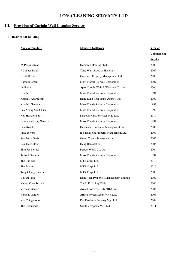## **III. Provision of Curtain Wall Cleaning Services**

| <b>Name of Building</b> | <b>Managed by/Owner</b>                 | Year of        |
|-------------------------|-----------------------------------------|----------------|
|                         |                                         | Commencing     |
|                         |                                         | <b>Service</b> |
| 25 Perkins Road         | Hopewell Holdings Ltd.                  | 2003           |
| 9 College Road          | Tung Wah Group of Hospitals             | 2005           |
| Deerhill Bay            | Goodwell Property Management Ltd.       | 2000           |
| Harbour Green           | Mass Transit Railway Corporation        | 2007           |
| Indihome                | Apex Curtain Wall & Windows Co. Ltd.    | 2006           |
| Kornhill                | Mass Transit Railway Corporation        | 1994           |
| Kornhill Apartments     | Hang Lung Real Estate Agency Ltd.       | 2007           |
| Kornhill Gardens        | Mass Transit Railway Corporation        | 1997           |
| Luk Yeung Sun Chuen     | Mass Transit Railway Corporation        | 1992           |
| Neo Horizon I & II      | Discovery Bay Services Mgt. Ltd.        | 2010           |
| New Kwai Fong Gardens   | Mass Transit Railway Corporation        | 1992           |
| Parc Royale             | Harriman Residential Management Ltd.    | 2006           |
| Park Towers             | ISS EastPoint Property Management Ltd.  | 2009           |
| <b>Residence Oasis</b>  | Grand Creator Investment Ltd.           | 2005           |
| <b>Residence Oasis</b>  | Hang Hau Station                        | 2005           |
| Shiu Fai Terrace        | Perfect World Co. Ltd.                  | 2004           |
| <b>Telford Gardens</b>  | Mass Transit Railway Corporation        | 1992           |
| The Cullinan            | MTR Corp. Ltd.                          | 2010           |
| The Palazzo             | MTR Corp. Ltd.                          | 2010           |
| Tung Chung Crescent     | MTR Corp. Ltd.                          | 2008           |
| Valiant Park            | Hang Yick Properties Management Limited | 2007           |
| Valley View Terrace     | The H.K. Jockey Club                    | 2000           |
| Verbena Garden          | Armed Force Security (HK) Ltd.          | 2005           |
| Verbena Garden          | Armed Forced Security HK Ltd.           | 2005           |
| Yee Ching Court         | ISS EastPoint Property Mgt. Ltd.        | 2009           |
| The Colonnade           | Savillis Property Mgt. Ltd.             | 2011           |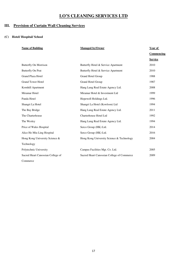## **III. Provision of Curtain Wall Cleaning Services**

#### **(C) Hotel/ Hospital/ School**

| <b>Name of Building</b>           | <b>Managed by/Owner</b>                    | Year of        |
|-----------------------------------|--------------------------------------------|----------------|
|                                   |                                            | Commencing     |
|                                   |                                            | <b>Service</b> |
| Butterfly On Morrison             | Butterfly Hotel & Service Apartment        | 2010           |
| <b>Butterfly On Prat</b>          | Butterfly Hotel & Service Apartment        | 2010           |
| Grand Plaza Hotel                 | Grand Hotel Group                          | 1988           |
| <b>Grand Tower Hotel</b>          | Grand Hotel Group                          | 1987           |
| Kornhill Apartment                | Hang Lung Real Estate Agency Ltd.          | 2008           |
| Miramar Hotel                     | Miramar Hotel & Investment Ltd             | 1999           |
| Panda Hotel                       | Hopewell Holdings Ltd.                     | 1996           |
| Shangri La Hotel                  | Shangri La Hotel (Kowloon) Ltd             | 1994           |
| The Bay Bridge                    | Hang Lung Real Estate Agency Ltd.          | 2011           |
| The Charterhouse                  | Charterhouse Hotel Ltd                     | 1992           |
| The Wesley                        | Hang Lung Real Estate Agency Ltd.          | 1994           |
| Price of Wales Hospital           | Serco Group (HK) Ltd.                      | 2014           |
| Alice Ho Miu Ling Hospital        | Serco Group (HK) Ltd.                      | 2016           |
| Hong Kong University Science &    | Hong Kong University Science & Technology  | 2004           |
| Technology                        |                                            |                |
| Polytechnic University            | Campus Facilities Mgt. Co. Ltd.            | 2005           |
| Sacred Heart Canossian College of | Sacred Heart Canossian College of Commerce | 2009           |
| Commerce                          |                                            |                |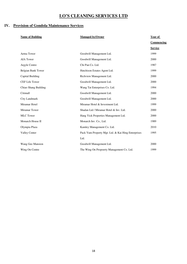## **IV. Provision of Gondola Maintenance Services**

| <b>Name of Building</b> | <b>Managed by/Owner</b>                            | Year of           |
|-------------------------|----------------------------------------------------|-------------------|
|                         |                                                    | <b>Commencing</b> |
|                         |                                                    | <b>Service</b>    |
| Aetna Tower             | Goodwill Management Ltd.                           | 1999              |
| <b>AIA Tower</b>        | Goodwill Management Ltd.                           | 2000              |
| Argyle Centre           | Chi Pan Co. Ltd.                                   | 1987              |
| Belgian Bank Tower      | Hutchison Estates Agent Ltd.                       | 1999              |
| Capital Building        | Richview Management Ltd.                           | 2000              |
| <b>CEF Life Tower</b>   | Goodwill Management Ltd.                           | 2000              |
| Chiao Shang Building    | Wang Tat Enterprises Co. Ltd.                      | 1994              |
| Citimall                | Goodwill Management Ltd.                           | 2000              |
| City Landmark           | Goodwill Management Ltd.                           | 2000              |
| Miramar Hotel           | Miramar Hotel & Investment Ltd.                    | 1999              |
| Miramar Tower           | Shadan Ltd / Miramar Hotel & Inv. Ltd.             | 2000              |
| <b>MLC</b> Tower        | Hang Yick Properties Management Ltd.               | 2000              |
| Monarch House II        | Monarch Inv. Co., Ltd.                             | 1989              |
| Olympia Plaza           | Kamley Management Co. Ltd.                         | 2010              |
| <b>Valley Center</b>    | Pack Yum Property Mgt. Ltd. & Kai Hing Enterprises | 1995              |
|                         | Ltd.                                               |                   |
| Wang Gee Mansion        | Goodwill Management Ltd.                           | 2000              |
| Wing On Centre          | The Wing On Propoerty Management Co. Ltd.          | 1999              |